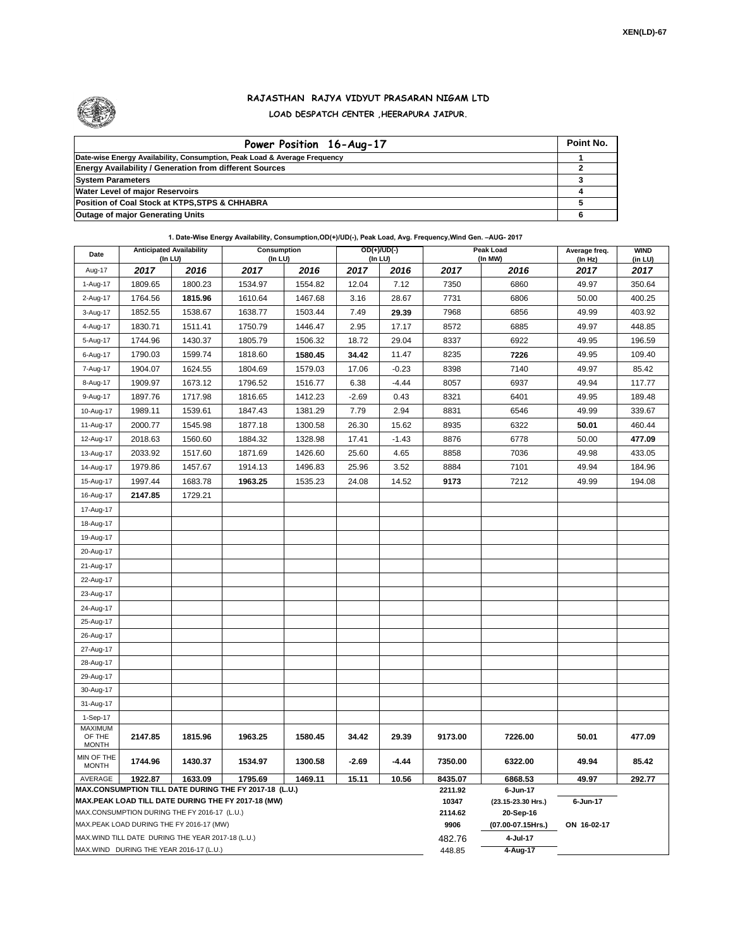

## **RAJASTHAN RAJYA VIDYUT PRASARAN NIGAM LTD LOAD DESPATCH CENTER ,HEERAPURA JAIPUR.**

| Power Position 16-Aug-17                                                  | Point No. |
|---------------------------------------------------------------------------|-----------|
| Date-wise Energy Availability, Consumption, Peak Load & Average Frequency |           |
| <b>Energy Availability / Generation from different Sources</b>            |           |
| <b>System Parameters</b>                                                  |           |
| <b>Water Level of major Reservoirs</b>                                    |           |
| Position of Coal Stock at KTPS, STPS & CHHABRA                            |           |
| <b>Outage of major Generating Units</b>                                   |           |

## **1. Date-Wise Energy Availability, Consumption,OD(+)/UD(-), Peak Load, Avg. Frequency,Wind Gen. –AUG- 2017**

| Date                                                                                                         | <b>Anticipated Availability</b><br>(In LU) |         | <b>Consumption</b><br>(In LU) |         | $OD(+)/UD(-)$<br>(In LU) |         |                   | Peak Load<br>(In MW)           | Average freq.<br>(ln Hz) | <b>WIND</b><br>(in LU) |  |
|--------------------------------------------------------------------------------------------------------------|--------------------------------------------|---------|-------------------------------|---------|--------------------------|---------|-------------------|--------------------------------|--------------------------|------------------------|--|
| Aug-17                                                                                                       | 2017                                       | 2016    | 2017                          | 2016    | 2017                     | 2016    | 2017              | 2016                           | 2017                     | 2017                   |  |
| 1-Aug-17                                                                                                     | 1809.65                                    | 1800.23 | 1534.97                       | 1554.82 | 12.04                    | 7.12    | 7350              | 6860                           | 49.97                    | 350.64                 |  |
| 2-Aug-17                                                                                                     | 1764.56                                    | 1815.96 | 1610.64                       | 1467.68 | 3.16                     | 28.67   | 7731              | 6806                           | 50.00                    | 400.25                 |  |
| 3-Aug-17                                                                                                     | 1852.55                                    | 1538.67 | 1638.77                       | 1503.44 | 7.49                     | 29.39   | 7968              | 6856                           | 49.99                    | 403.92                 |  |
| 4-Aug-17                                                                                                     | 1830.71                                    | 1511.41 | 1750.79                       | 1446.47 | 2.95                     | 17.17   | 8572              | 6885                           | 49.97                    | 448.85                 |  |
| 5-Aug-17                                                                                                     | 1744.96                                    | 1430.37 | 1805.79                       | 1506.32 | 18.72                    | 29.04   | 8337              | 6922                           | 49.95                    | 196.59                 |  |
| 6-Aug-17                                                                                                     | 1790.03                                    | 1599.74 | 1818.60                       | 1580.45 | 34.42                    | 11.47   | 8235              | 7226                           | 49.95                    | 109.40                 |  |
| 7-Aug-17                                                                                                     | 1904.07                                    | 1624.55 | 1804.69                       | 1579.03 | 17.06                    | $-0.23$ | 8398              | 7140                           | 49.97                    | 85.42                  |  |
| 8-Aug-17                                                                                                     | 1909.97                                    | 1673.12 | 1796.52                       | 1516.77 | 6.38                     | $-4.44$ | 8057              | 6937                           | 49.94                    | 117.77                 |  |
| 9-Aug-17                                                                                                     | 1897.76                                    | 1717.98 | 1816.65                       | 1412.23 | $-2.69$                  | 0.43    | 8321              | 6401                           | 49.95                    | 189.48                 |  |
| 10-Aug-17                                                                                                    | 1989.11                                    | 1539.61 | 1847.43                       | 1381.29 | 7.79                     | 2.94    | 8831              | 6546                           | 49.99                    | 339.67                 |  |
| 11-Aug-17                                                                                                    | 2000.77                                    | 1545.98 | 1877.18                       | 1300.58 | 26.30                    | 15.62   | 8935              | 6322                           | 50.01                    | 460.44                 |  |
| 12-Aug-17                                                                                                    | 2018.63                                    | 1560.60 | 1884.32                       | 1328.98 | 17.41                    | $-1.43$ | 8876              | 6778                           | 50.00                    | 477.09                 |  |
| 13-Aug-17                                                                                                    | 2033.92                                    | 1517.60 | 1871.69                       | 1426.60 | 25.60                    | 4.65    | 8858              | 7036                           | 49.98                    | 433.05                 |  |
| 14-Aug-17                                                                                                    | 1979.86                                    | 1457.67 | 1914.13                       | 1496.83 | 25.96                    | 3.52    | 8884              | 7101                           | 49.94                    | 184.96                 |  |
| 15-Aug-17                                                                                                    | 1997.44                                    | 1683.78 | 1963.25                       | 1535.23 | 24.08                    | 14.52   | 9173              | 7212                           | 49.99                    | 194.08                 |  |
| 16-Aug-17                                                                                                    | 2147.85                                    | 1729.21 |                               |         |                          |         |                   |                                |                          |                        |  |
| 17-Aug-17                                                                                                    |                                            |         |                               |         |                          |         |                   |                                |                          |                        |  |
| 18-Aug-17                                                                                                    |                                            |         |                               |         |                          |         |                   |                                |                          |                        |  |
| 19-Aug-17                                                                                                    |                                            |         |                               |         |                          |         |                   |                                |                          |                        |  |
| 20-Aug-17                                                                                                    |                                            |         |                               |         |                          |         |                   |                                |                          |                        |  |
| 21-Aug-17                                                                                                    |                                            |         |                               |         |                          |         |                   |                                |                          |                        |  |
| 22-Aug-17                                                                                                    |                                            |         |                               |         |                          |         |                   |                                |                          |                        |  |
| 23-Aug-17                                                                                                    |                                            |         |                               |         |                          |         |                   |                                |                          |                        |  |
| 24-Aug-17                                                                                                    |                                            |         |                               |         |                          |         |                   |                                |                          |                        |  |
| 25-Aug-17                                                                                                    |                                            |         |                               |         |                          |         |                   |                                |                          |                        |  |
| 26-Aug-17                                                                                                    |                                            |         |                               |         |                          |         |                   |                                |                          |                        |  |
| 27-Aug-17                                                                                                    |                                            |         |                               |         |                          |         |                   |                                |                          |                        |  |
| 28-Aug-17                                                                                                    |                                            |         |                               |         |                          |         |                   |                                |                          |                        |  |
| 29-Aug-17                                                                                                    |                                            |         |                               |         |                          |         |                   |                                |                          |                        |  |
| 30-Aug-17                                                                                                    |                                            |         |                               |         |                          |         |                   |                                |                          |                        |  |
| 31-Aug-17                                                                                                    |                                            |         |                               |         |                          |         |                   |                                |                          |                        |  |
| 1-Sep-17<br><b>MAXIMUM</b>                                                                                   |                                            |         |                               |         |                          |         |                   |                                |                          |                        |  |
| OF THE                                                                                                       | 2147.85                                    | 1815.96 | 1963.25                       | 1580.45 | 34.42                    | 29.39   | 9173.00           | 7226.00                        | 50.01                    | 477.09                 |  |
| <b>MONTH</b>                                                                                                 |                                            |         |                               |         |                          |         |                   |                                |                          |                        |  |
| MIN OF THE<br><b>MONTH</b>                                                                                   | 1744.96                                    | 1430.37 | 1534.97                       | 1300.58 | $-2.69$                  | -4.44   | 7350.00           | 6322.00                        | 49.94                    | 85.42                  |  |
| AVERAGE                                                                                                      | 1922.87                                    | 1633.09 | 1795.69                       | 1469.11 | 15.11                    | 10.56   | 8435.07           | 6868.53                        | 49.97                    | 292.77                 |  |
| MAX.CONSUMPTION TILL DATE DURING THE FY 2017-18 (L.U.)<br>MAX.PEAK LOAD TILL DATE DURING THE FY 2017-18 (MW) |                                            |         |                               |         |                          |         | 2211.92<br>10347  | 6-Jun-17<br>(23.15-23.30 Hrs.) | 6-Jun-17                 |                        |  |
| MAX.CONSUMPTION DURING THE FY 2016-17 (L.U.)                                                                 |                                            |         |                               |         |                          | 2114.62 | 20-Sep-16         |                                |                          |                        |  |
| MAX.PEAK LOAD DURING THE FY 2016-17 (MW)                                                                     |                                            |         |                               |         |                          | 9906    | (07.00-07.15Hrs.) | ON 16-02-17                    |                          |                        |  |
| MAX.WIND TILL DATE DURING THE YEAR 2017-18 (L.U.)                                                            |                                            |         |                               |         |                          | 482.76  | 4-Jul-17          |                                |                          |                        |  |
| MAX.WIND DURING THE YEAR 2016-17 (L.U.)                                                                      |                                            |         |                               |         |                          |         | 448.85            | 4-Aug-17                       |                          |                        |  |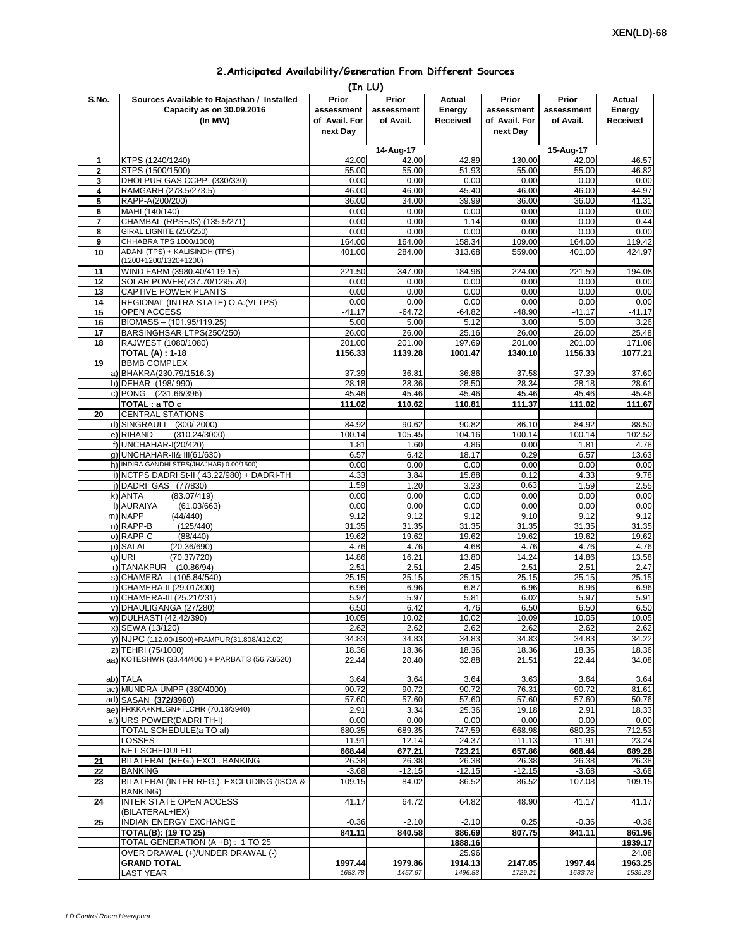## **2.Anticipated Availability/Generation From Different Sources**

|              |                                                                                    | (In LU)                                          |                                  |                              |                                                  |                                  |                              |
|--------------|------------------------------------------------------------------------------------|--------------------------------------------------|----------------------------------|------------------------------|--------------------------------------------------|----------------------------------|------------------------------|
| S.No.        | Sources Available to Rajasthan / Installed<br>Capacity as on 30.09.2016<br>(In MW) | Prior<br>assessment<br>of Avail. For<br>next Day | Prior<br>assessment<br>of Avail. | Actual<br>Energy<br>Received | Prior<br>assessment<br>of Avail. For<br>next Day | Prior<br>assessment<br>of Avail. | Actual<br>Energy<br>Received |
|              |                                                                                    |                                                  | 14-Aug-17                        |                              |                                                  | 15-Aug-17                        |                              |
| $\mathbf{1}$ | KTPS (1240/1240)                                                                   | 42.00                                            | 42.00                            | 42.89                        | 130.00                                           | 42.00                            | 46.57                        |
| $\mathbf{2}$ | STPS (1500/1500)                                                                   | 55.00                                            | 55.00                            | 51.93                        | 55.00                                            | 55.00                            | 46.82                        |
| 3            | DHOLPUR GAS CCPP (330/330)                                                         | 0.00                                             | 0.00                             | 0.00                         | 0.00                                             | 0.00                             | 0.00                         |
| 4            | RAMGARH (273.5/273.5)                                                              | 46.00                                            | 46.00                            | 45.40                        | 46.00                                            | 46.00                            | 44.97                        |
| 5            | RAPP-A(200/200)                                                                    | 36.00                                            | 34.00                            | 39.99                        | 36.00                                            | 36.00                            | 41.31                        |
| 6            | MAHI (140/140)                                                                     | 0.00                                             | 0.00                             | 0.00                         | 0.00                                             | 0.00                             | 0.00                         |
| 7            | CHAMBAL (RPS+JS) (135.5/271)                                                       | 0.00                                             | 0.00                             | 1.14                         | 0.00                                             | 0.00                             | 0.44                         |
| 8            | <b>GIRAL LIGNITE (250/250)</b>                                                     | 0.00                                             | 0.00                             | 0.00                         | 0.00                                             | 0.00                             | 0.00                         |
| 9            | CHHABRA TPS 1000/1000)                                                             | 164.00                                           | 164.00                           | 158.34                       | 109.00                                           | 164.00                           | 119.42                       |
| 10           | ADANI (TPS) + KALISINDH (TPS)                                                      | 401.00                                           | 284.00                           | 313.68                       | 559.00                                           | 401.00                           | 424.97                       |
|              | (1200+1200/1320+1200)                                                              |                                                  |                                  |                              |                                                  |                                  |                              |
| 11           | WIND FARM (3980.40/4119.15)                                                        | 221.50                                           | 347.00                           | 184.96                       | 224.00                                           | 221.50                           | 194.08                       |
| 12           | SOLAR POWER(737.70/1295.70)                                                        | 0.00                                             | 0.00                             | 0.00                         | 0.00                                             | 0.00                             | 0.00                         |
| 13           | CAPTIVE POWER PLANTS                                                               | 0.00                                             | 0.00                             | 0.00                         | 0.00                                             | 0.00                             | 0.00                         |
| 14           | REGIONAL (INTRA STATE) O.A. (VLTPS)                                                | 0.00                                             | 0.00                             | 0.00                         | 0.00                                             | 0.00                             | 0.00                         |
| 15           | OPEN ACCESS                                                                        | $-41.17$                                         | $-64.72$                         | $-64.82$                     | $-48.90$                                         | $-41.17$                         | $-41.17$                     |
| 16<br>17     | BIOMASS - (101.95/119.25)                                                          | 5.00<br>26.00                                    | 5.00<br>26.00                    | 5.12<br>25.16                | 3.00                                             | 5.00<br>26.00                    | 3.26<br>25.48                |
| 18           | BARSINGHSAR LTPS(250/250)<br>RAJWEST (1080/1080)                                   | 201.00                                           | 201.00                           | 197.69                       | 26.00<br>201.00                                  | 201.00                           | 171.06                       |
|              | <b>TOTAL (A): 1-18</b>                                                             | 1156.33                                          | 1139.28                          | 1001.47                      | 1340.10                                          | 1156.33                          | 1077.21                      |
| 19           | <b>BBMB COMPLEX</b>                                                                |                                                  |                                  |                              |                                                  |                                  |                              |
|              | a) BHAKRA(230.79/1516.3)                                                           | 37.39                                            | 36.81                            | 36.86                        | 37.58                                            | 37.39                            | 37.60                        |
|              | b) DEHAR (198/990)                                                                 | 28.18                                            | 28.36                            | 28.50                        | 28.34                                            | 28.18                            | 28.61                        |
|              | c) PONG (231.66/396)                                                               | 45.46                                            | 45.46                            | 45.46                        | 45.46                                            | 45.46                            | 45.46                        |
|              | TOTAL: a TO c                                                                      | 111.02                                           | 110.62                           | 110.81                       | 111.37                                           | 111.02                           | 111.67                       |
| 20           | <b>CENTRAL STATIONS</b>                                                            |                                                  |                                  |                              |                                                  |                                  |                              |
|              | d) SINGRAULI<br>(300/2000)                                                         | 84.92                                            | 90.62                            | 90.82                        | 86.10                                            | 84.92                            | 88.50                        |
|              | e) RIHAND<br>(310.24/3000)                                                         | 100.14                                           | 105.45                           | 104.16                       | 100.14                                           | 100.14                           | 102.52                       |
|              | f) UNCHAHAR-I(20/420)                                                              | 1.81                                             | 1.60                             | 4.86                         | 0.00                                             | 1.81                             | 4.78                         |
|              | g) UNCHAHAR-II& III(61/630)                                                        | 6.57                                             | 6.42                             | 18.17                        | 0.29                                             | 6.57                             | 13.63                        |
|              | h) INDIRA GANDHI STPS(JHAJHAR) 0.00/1500)                                          | 0.00                                             | 0.00                             | 0.00                         | 0.00                                             | 0.00                             | 0.00                         |
|              | i) NCTPS DADRI St-II (43.22/980) + DADRI-TH                                        | 4.33                                             | 3.84                             | 15.88                        | 0.12                                             | 4.33                             | 9.78                         |
|              | j) DADRI GAS (77/830)                                                              | 1.59                                             | 1.20                             | 3.23                         | 0.63                                             | 1.59                             | 2.55                         |
|              | k) ANTA<br>(83.07/419)                                                             | 0.00                                             | 0.00                             | 0.00                         | 0.00                                             | 0.00                             | 0.00                         |
|              | I) AURAIYA<br>(61.03/663)                                                          | 0.00                                             | 0.00                             | 0.00                         | 0.00                                             | 0.00                             | 0.00                         |
|              | m) NAPP<br>(44/440)                                                                | 9.12                                             | 9.12                             | 9.12                         | 9.10                                             | 9.12                             | 9.12                         |
|              | n) RAPP-B<br>(125/440)                                                             | 31.35                                            | 31.35                            | 31.35                        | 31.35                                            | 31.35                            | 31.35                        |
|              | o) RAPP-C<br>(88/440)                                                              | 19.62                                            | 19.62                            | 19.62                        | 19.62                                            | 19.62                            | 19.62                        |
|              | p) SALAL<br>(20.36/690)                                                            | 4.76                                             | 4.76                             | 4.68                         | 4.76                                             | 4.76                             | 4.76                         |
|              | q) URI<br>(70.37/720)                                                              | 14.86                                            | 16.21                            | 13.80                        | 14.24                                            | 14.86                            | 13.58                        |
|              | r) TANAKPUR<br>(10.86/94)                                                          | 2.51                                             | 2.51                             | 2.45                         | 2.51                                             | 2.51                             | 2.47                         |
|              | s) CHAMERA - (105.84/540)                                                          | 25.15                                            | 25.15                            | 25.15                        | 25.15                                            | 25.15                            | 25.15                        |
|              | t) CHAMERA-II (29.01/300)                                                          | 6.96                                             | 6.96                             | 6.87                         | 6.96                                             | 6.96                             | 6.96                         |
|              | u) CHAMERA-III (25.21/231)                                                         | 5.97                                             | 5.97                             | 5.81                         | 6.02                                             | 5.97                             | 5.91                         |
|              | v) DHAULIGANGA (27/280)                                                            | 6.50                                             | 6.42                             | 4.76                         | 6.50                                             | 6.50<br>10.05                    | 6.50<br>10.05                |
|              | w) DULHASTI (42.42/390)                                                            | 10.05                                            | 10.02                            | 10.02                        | 10.09                                            |                                  |                              |
|              | x) SEWA (13/120)                                                                   | 2.62                                             | 2.62<br>34.83                    | 2.62                         | 2.62                                             | 2.62                             | 2.62                         |
|              | y) NJPC (112.00/1500)+RAMPUR(31.808/412.02)                                        | 34.83                                            |                                  | 34.83                        | 34.83                                            | 34.83                            | 34.22                        |
|              | z) TEHRI (75/1000)<br>aa) KOTESHWR (33.44/400) + PARBATI3 (56.73/520)              | 18.36<br>22.44                                   | 18.36<br>20.40                   | 18.36<br>32.88               | 18.36<br>21.51                                   | 18.36<br>22.44                   | 18.36<br>34.08               |
|              |                                                                                    |                                                  |                                  |                              |                                                  |                                  |                              |
|              | ab) TALA                                                                           | 3.64                                             | 3.64                             | 3.64                         | 3.63                                             | 3.64                             | 3.64                         |
|              | ac) MUNDRA UMPP (380/4000)                                                         | 90.72                                            | 90.72                            | 90.72                        | 76.31                                            | 90.72                            | 81.61                        |
|              | ad) SASAN (372/3960)                                                               | 57.60                                            | 57.60                            | 57.60                        | 57.60                                            | 57.60                            | 50.76                        |
|              | ae) FRKKA+KHLGN+TLCHR (70.18/3940)                                                 | 2.91                                             | 3.34                             | 25.36                        | 19.18                                            | 2.91                             | 18.33                        |
|              | af) URS POWER (DADRI TH-I)                                                         | 0.00                                             | 0.00                             | 0.00                         | 0.00                                             | 0.00                             | 0.00                         |
|              | TOTAL SCHEDULE(a TO af)                                                            | 680.35                                           | 689.35                           | 747.59                       | 668.98                                           | 680.35                           | 712.53                       |
|              | LOSSES                                                                             | $-11.91$                                         | $-12.14$                         | $-24.37$                     | $-11.13$                                         | $-11.91$                         | $-23.24$                     |
|              | NET SCHEDULED                                                                      | 668.44                                           | 677.21                           | 723.21                       | 657.86                                           | 668.44                           | 689.28                       |
| 21           | BILATERAL (REG.) EXCL. BANKING                                                     | 26.38                                            | 26.38                            | 26.38                        | 26.38                                            | 26.38                            | 26.38                        |
| 22           | <b>BANKING</b>                                                                     | $-3.68$                                          | $-12.15$                         | $-12.15$                     | $-12.15$                                         | $-3.68$                          | $-3.68$                      |
| 23           | BILATERAL(INTER-REG.). EXCLUDING (ISOA &<br><b>BANKING)</b>                        | 109.15                                           | 84.02                            | 86.52                        | 86.52                                            | 107.08                           | 109.15                       |
| 24           | <b>INTER STATE OPEN ACCESS</b>                                                     | 41.17                                            | 64.72                            | 64.82                        | 48.90                                            | 41.17                            | 41.17                        |
|              | (BILATERAL+IEX)<br><b>INDIAN ENERGY EXCHANGE</b>                                   | $-0.36$                                          | $-2.10$                          | $-2.10$                      | 0.25                                             | $-0.36$                          | $-0.36$                      |
| 25           | <b>TOTAL(B): (19 TO 25)</b>                                                        | 841.11                                           | 840.58                           | 886.69                       | 807.75                                           | 841.11                           | 861.96                       |
|              | TOTAL GENERATION (A +B) : 1 TO 25                                                  |                                                  |                                  | 1888.16                      |                                                  |                                  | 1939.17                      |
|              | OVER DRAWAL (+)/UNDER DRAWAL (-)                                                   |                                                  |                                  | 25.96                        |                                                  |                                  | 24.08                        |
|              | <b>GRAND TOTAL</b>                                                                 | 1997.44                                          | 1979.86                          | 1914.13                      | 2147.85                                          | 1997.44                          | 1963.25                      |
|              | LAST YEAR                                                                          | 1683.78                                          | 1457.67                          | 1496.83                      | 1729.21                                          | 1683.78                          | 1535.23                      |